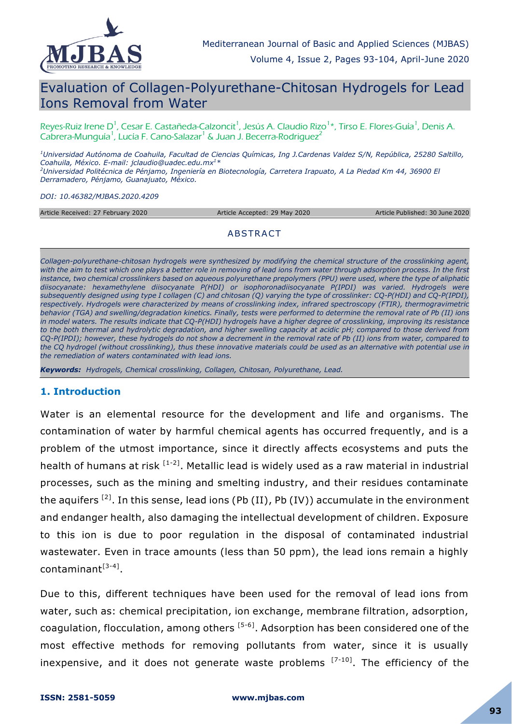

# Evaluation of Collagen-Polyurethane-Chitosan Hydrogels for Lead Ions Removal from Water

Reyes-Ruiz Irene D<sup>1</sup>, Cesar E. Castañeda-Calzoncit<sup>1</sup>, Jesús A. Claudio Rizo<sup>1</sup>\*, Tirso E. Flores-Guía<sup>1</sup>, Denis A. Cabrera-Munguía<sup>1</sup>, Lucía F. Cano-Salazar<sup>1</sup> & Juan J. Becerra-Rodriguez<sup>2</sup>

*<sup>1</sup>Universidad Autónoma de Coahuila, Facultad de Ciencias Químicas, Ing J.Cardenas Valdez S/N, República, 25280 Saltillo, Coahuila, México. E-mail: jclaudio@uadec.edu.mx<sup>1</sup>\* <sup>2</sup>Universidad Politécnica de Pénjamo, Ingeniería en Biotecnología, Carretera Irapuato, A La Piedad Km 44, 36900 El Derramadero, Pénjamo, Guanajuato, México.* 

*DOI: 10.46382/MJBAS.2020.4209*

Article Received: 27 February 2020 Article Accepted: 29 May 2020 Article Published: 30 June 2020

#### ABSTRACT

*Collagen-polyurethane-chitosan hydrogels were synthesized by modifying the chemical structure of the crosslinking agent, with the aim to test which one plays a better role in removing of lead ions from water through adsorption process. In the first instance, two chemical crosslinkers based on aqueous polyurethane prepolymers (PPU) were used, where the type of aliphatic diisocyanate: hexamethylene diisocyanate P(HDI) or isophoronadiisocyanate P(IPDI) was varied. Hydrogels were subsequently designed using type I collagen (C) and chitosan (Q) varying the type of crosslinker: CQ-P(HDI) and CQ-P(IPDI), respectively. Hydrogels were characterized by means of crosslinking index, infrared spectroscopy (FTIR), thermogravimetric behavior (TGA) and swelling/degradation kinetics. Finally, tests were performed to determine the removal rate of Pb (II) ions in model waters. The results indicate that CQ-P(HDI) hydrogels have a higher degree of crosslinking, improving its resistance to the both thermal and hydrolytic degradation, and higher swelling capacity at acidic pH; compared to those derived from CQ-P(IPDI); however, these hydrogels do not show a decrement in the removal rate of Pb (II) ions from water, compared to the CQ hydrogel (without crosslinking), thus these innovative materials could be used as an alternative with potential use in the remediation of waters contaminated with lead ions.*

*Keywords: Hydrogels, Chemical crosslinking, Collagen, Chitosan, Polyurethane, Lead.*

#### **1. Introduction**

Water is an elemental resource for the development and life and organisms. The contamination of water by harmful chemical agents has occurred frequently, and is a problem of the utmost importance, since it directly affects ecosystems and puts the health of humans at risk  $^{[1-2]}$ . Metallic lead is widely used as a raw material in industrial processes, such as the mining and smelting industry, and their residues contaminate the aquifers <sup>[2]</sup>. In this sense, lead ions (Pb (II), Pb (IV)) accumulate in the environment and endanger health, also damaging the intellectual development of children. Exposure to this ion is due to poor regulation in the disposal of contaminated industrial wastewater. Even in trace amounts (less than 50 ppm), the lead ions remain a highly contaminant<sup>[3-4]</sup>.

Due to this, different techniques have been used for the removal of lead ions from water, such as: chemical precipitation, ion exchange, membrane filtration, adsorption, coagulation, flocculation, among others  $[5-6]$ . Adsorption has been considered one of the most effective methods for removing pollutants from water, since it is usually inexpensive, and it does not generate waste problems  $[7-10]$ . The efficiency of the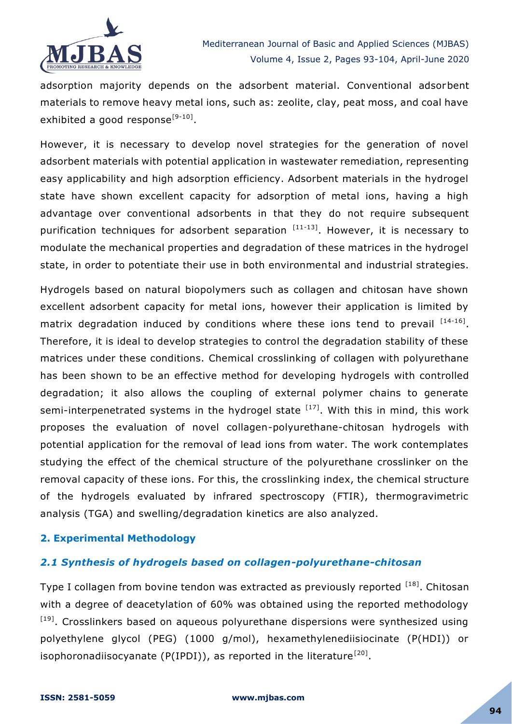

adsorption majority depends on the adsorbent material. Conventional adsorbent materials to remove heavy metal ions, such as: zeolite, clay, peat moss, and coal have exhibited a good response<sup>[9-10]</sup>.

However, it is necessary to develop novel strategies for the generation of novel adsorbent materials with potential application in wastewater remediation, representing easy applicability and high adsorption efficiency. Adsorbent materials in the hydrogel state have shown excellent capacity for adsorption of metal ions, having a high advantage over conventional adsorbents in that they do not require subsequent purification techniques for adsorbent separation  $[11-13]$ . However, it is necessary to modulate the mechanical properties and degradation of these matrices in the hydrogel state, in order to potentiate their use in both environmental and industrial strategies.

Hydrogels based on natural biopolymers such as collagen and chitosan have shown excellent adsorbent capacity for metal ions, however their application is limited by matrix degradation induced by conditions where these ions tend to prevail  $^{[14-16]}$ . Therefore, it is ideal to develop strategies to control the degradation stability of these matrices under these conditions. Chemical crosslinking of collagen with polyurethane has been shown to be an effective method for developing hydrogels with controlled degradation; it also allows the coupling of external polymer chains to generate semi-interpenetrated systems in the hydrogel state  $[17]$ . With this in mind, this work proposes the evaluation of novel collagen-polyurethane-chitosan hydrogels with potential application for the removal of lead ions from water. The work contemplates studying the effect of the chemical structure of the polyurethane crosslinker on the removal capacity of these ions. For this, the crosslinking index, the chemical structure of the hydrogels evaluated by infrared spectroscopy (FTIR), thermogravimetric analysis (TGA) and swelling/degradation kinetics are also analyzed.

# **2. Experimental Methodology**

# *2.1 Synthesis of hydrogels based on collagen-polyurethane-chitosan*

Type I collagen from bovine tendon was extracted as previously reported [18]. Chitosan with a degree of deacetylation of 60% was obtained using the reported methodology [19]. Crosslinkers based on aqueous polyurethane dispersions were synthesized using polyethylene glycol (PEG) (1000 g/mol), hexamethylenediisiocinate (P(HDI)) or isophoronadiisocyanate (P(IPDI)), as reported in the literature<sup>[20]</sup>.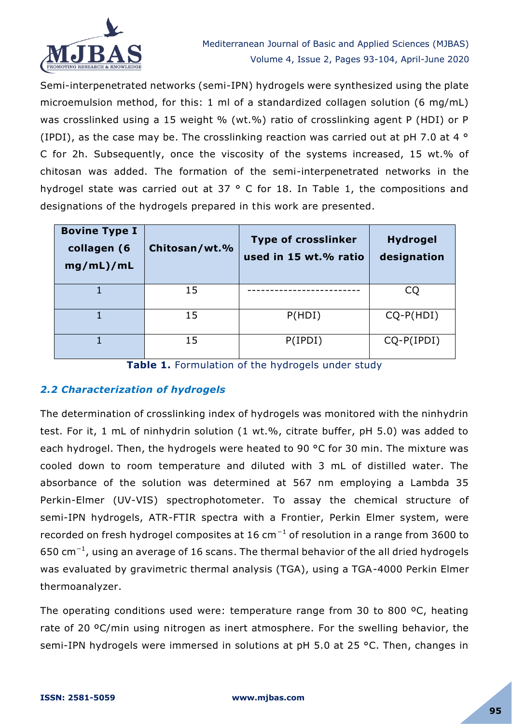

Semi-interpenetrated networks (semi-IPN) hydrogels were synthesized using the plate microemulsion method, for this: 1 ml of a standardized collagen solution (6 mg/mL) was crosslinked using a 15 weight % (wt.%) ratio of crosslinking agent P (HDI) or P (IPDI), as the case may be. The crosslinking reaction was carried out at pH 7.0 at 4  $\circ$ C for 2h. Subsequently, once the viscosity of the systems increased, 15 wt.% of chitosan was added. The formation of the semi-interpenetrated networks in the hydrogel state was carried out at 37 ° C for 18. In Table 1, the compositions and designations of the hydrogels prepared in this work are presented.

| <b>Bovine Type I</b><br>collagen (6<br>mg/mL)/mL | Chitosan/wt.% | <b>Type of crosslinker</b><br>used in 15 wt.% ratio | <b>Hydrogel</b><br>designation |
|--------------------------------------------------|---------------|-----------------------------------------------------|--------------------------------|
|                                                  | 15            |                                                     | CQ                             |
|                                                  | 15            | P(HDI)                                              | $CQ-P(HDI)$                    |
|                                                  | 15            | P(IPDI)                                             | $CQ-P(IPDI)$                   |

Table 1. Formulation of the hydrogels under study

# *2.2 Characterization of hydrogels*

The determination of crosslinking index of hydrogels was monitored with the ninhydrin test. For it, 1 mL of ninhydrin solution (1 wt.%, citrate buffer, pH 5.0) was added to each hydrogel. Then, the hydrogels were heated to 90 °C for 30 min. The mixture was cooled down to room temperature and diluted with 3 mL of distilled water. The absorbance of the solution was determined at 567 nm employing a Lambda 35 Perkin-Elmer (UV-VIS) spectrophotometer. To assay the chemical structure of semi-IPN hydrogels, ATR-FTIR spectra with a Frontier, Perkin Elmer system, were recorded on fresh hydrogel composites at 16 cm<sup>-1</sup> of resolution in a range from 3600 to 650 cm<sup>−</sup><sup>1</sup> , using an average of 16 scans. The thermal behavior of the all dried hydrogels was evaluated by gravimetric thermal analysis (TGA), using a TGA-4000 Perkin Elmer thermoanalyzer.

The operating conditions used were: temperature range from 30 to 800 ºC, heating rate of 20 ºC/min using nitrogen as inert atmosphere. For the swelling behavior, the semi-IPN hydrogels were immersed in solutions at pH 5.0 at 25 °C. Then, changes in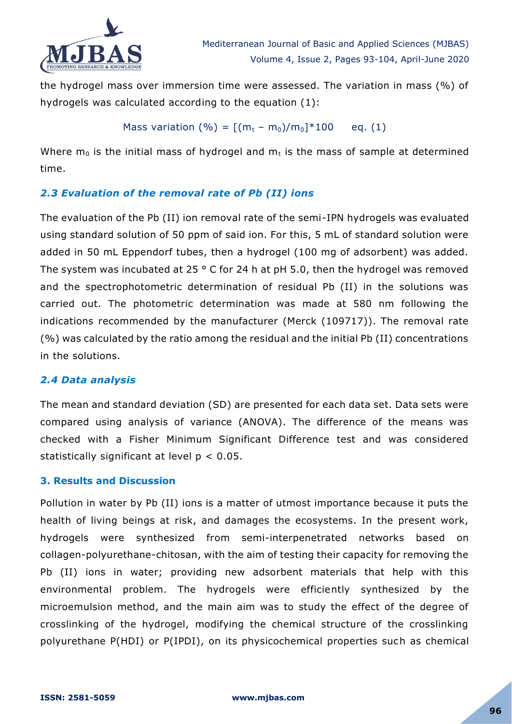

the hydrogel mass over immersion time were assessed. The variation in mass (%) of hydrogels was calculated according to the equation (1):

Mass variation (
$$
\% = [(m_t - m_0)/m_0]^*100
$$
 eq. (1)

Where  $m_0$  is the initial mass of hydrogel and  $m_t$  is the mass of sample at determined time.

# *2.3 Evaluation of the removal rate of Pb (II) ions*

The evaluation of the Pb (II) ion removal rate of the semi-IPN hydrogels was evaluated using standard solution of 50 ppm of said ion. For this, 5 mL of standard solution were added in 50 mL Eppendorf tubes, then a hydrogel (100 mg of adsorbent) was added. The system was incubated at 25 ° C for 24 h at pH 5.0, then the hydrogel was removed and the spectrophotometric determination of residual Pb (II) in the solutions was carried out. The photometric determination was made at 580 nm following the indications recommended by the manufacturer (Merck (109717)). The removal rate (%) was calculated by the ratio among the residual and the initial Pb (II) concentrations in the solutions.

# *2.4 Data analysis*

The mean and standard deviation (SD) are presented for each data set. Data sets were compared using analysis of variance (ANOVA). The difference of the means was checked with a Fisher Minimum Significant Difference test and was considered statistically significant at level  $p < 0.05$ .

# **3. Results and Discussion**

Pollution in water by Pb (II) ions is a matter of utmost importance because it puts the health of living beings at risk, and damages the ecosystems. In the present work, hydrogels were synthesized from semi-interpenetrated networks based on collagen-polyurethane-chitosan, with the aim of testing their capacity for removing the Pb (II) ions in water; providing new adsorbent materials that help with this environmental problem. The hydrogels were efficiently synthesized by the microemulsion method, and the main aim was to study the effect of the degree of crosslinking of the hydrogel, modifying the chemical structure of the crosslinking polyurethane P(HDI) or P(IPDI), on its physicochemical properties such as chemical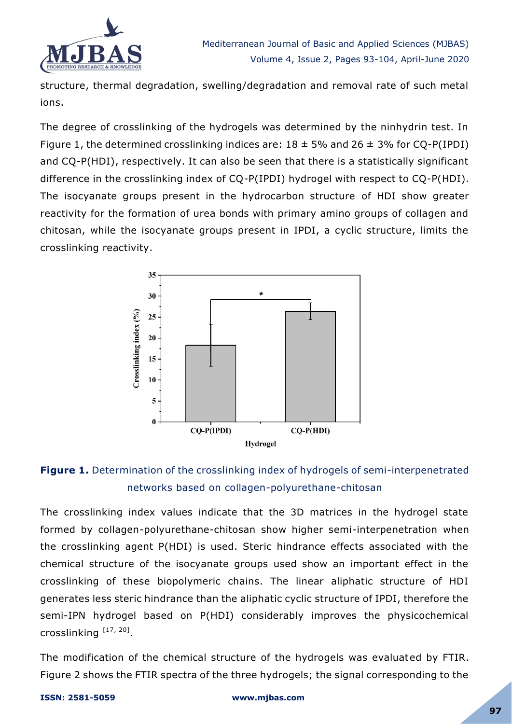

structure, thermal degradation, swelling/degradation and removal rate of such metal ions.

The degree of crosslinking of the hydrogels was determined by the ninhydrin test. In Figure 1, the determined crosslinking indices are:  $18 \pm 5\%$  and  $26 \pm 3\%$  for CQ-P(IPDI) and CQ-P(HDI), respectively. It can also be seen that there is a statistically significant difference in the crosslinking index of CQ-P(IPDI) hydrogel with respect to CQ-P(HDI). The isocyanate groups present in the hydrocarbon structure of HDI show greater reactivity for the formation of urea bonds with primary amino groups of collagen and chitosan, while the isocyanate groups present in IPDI, a cyclic structure, limits the crosslinking reactivity.



# **Figure 1.** Determination of the crosslinking index of hydrogels of semi-interpenetrated networks based on collagen-polyurethane-chitosan

The crosslinking index values indicate that the 3D matrices in the hydrogel state formed by collagen-polyurethane-chitosan show higher semi-interpenetration when the crosslinking agent P(HDI) is used. Steric hindrance effects associated with the chemical structure of the isocyanate groups used show an important effect in the crosslinking of these biopolymeric chains. The linear aliphatic structure of HDI generates less steric hindrance than the aliphatic cyclic structure of IPDI, therefore the semi-IPN hydrogel based on P(HDI) considerably improves the physicochemical crosslinking [17, 20].

The modification of the chemical structure of the hydrogels was evaluated by FTIR. Figure 2 shows the FTIR spectra of the three hydrogels; the signal corresponding to the

#### **ISSN: 2581-5059 www.mjbas.com**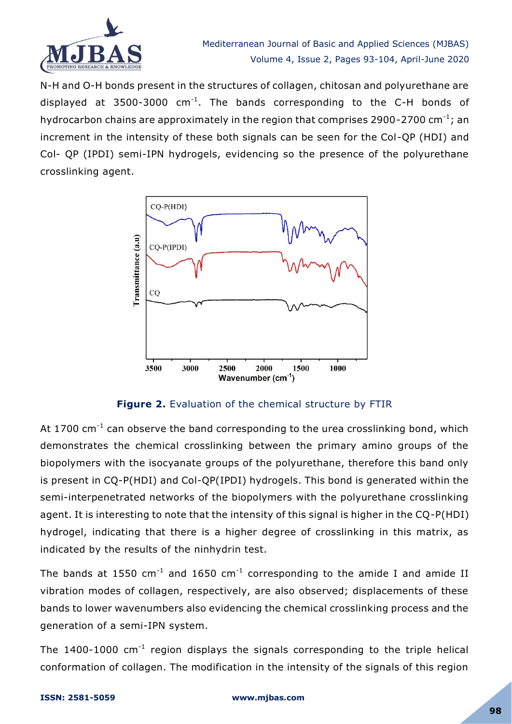

N-H and O-H bonds present in the structures of collagen, chitosan and polyurethane are displayed at 3500-3000  $cm^{-1}$ . The bands corresponding to the C-H bonds of hydrocarbon chains are approximately in the region that comprises 2900-2700 cm<sup>-1</sup>; an increment in the intensity of these both signals can be seen for the Col-QP (HDI) and Col- QP (IPDI) semi-IPN hydrogels, evidencing so the presence of the polyurethane crosslinking agent.



**Figure 2.** Evaluation of the chemical structure by FTIR

At 1700  $cm^{-1}$  can observe the band corresponding to the urea crosslinking bond, which demonstrates the chemical crosslinking between the primary amino groups of the biopolymers with the isocyanate groups of the polyurethane, therefore this band only is present in CQ-P(HDI) and Col-QP(IPDI) hydrogels. This bond is generated within the semi-interpenetrated networks of the biopolymers with the polyurethane crosslinking agent. It is interesting to note that the intensity of this signal is higher in the CQ-P(HDI) hydrogel, indicating that there is a higher degree of crosslinking in this matrix, as indicated by the results of the ninhydrin test.

The bands at 1550 cm<sup>-1</sup> and 1650 cm<sup>-1</sup> corresponding to the amide I and amide II vibration modes of collagen, respectively, are also observed; displacements of these bands to lower wavenumbers also evidencing the chemical crosslinking process and the generation of a semi-IPN system.

The 1400-1000  $cm^{-1}$  region displays the signals corresponding to the triple helical conformation of collagen. The modification in the intensity of the signals of this region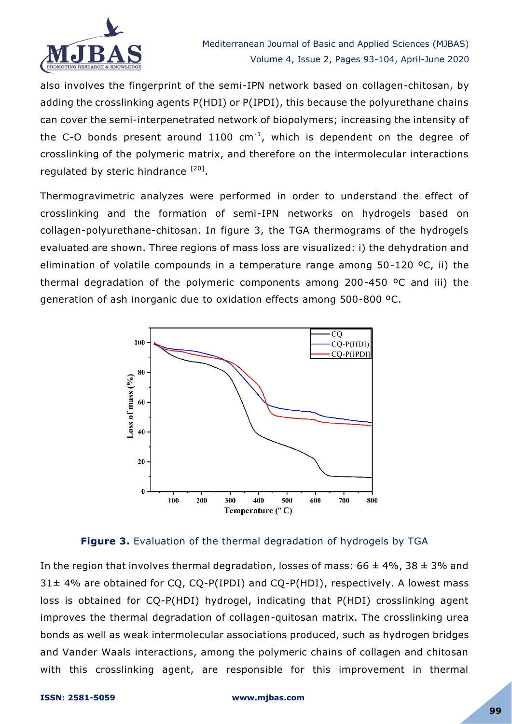

also involves the fingerprint of the semi-IPN network based on collagen-chitosan, by adding the crosslinking agents P(HDI) or P(IPDI), this because the polyurethane chains can cover the semi-interpenetrated network of biopolymers; increasing the intensity of the C-O bonds present around 1100  $cm^{-1}$ , which is dependent on the degree of crosslinking of the polymeric matrix, and therefore on the intermolecular interactions regulated by steric hindrance [20].

Thermogravimetric analyzes were performed in order to understand the effect of crosslinking and the formation of semi-IPN networks on hydrogels based on collagen-polyurethane-chitosan. In figure 3, the TGA thermograms of the hydrogels evaluated are shown. Three regions of mass loss are visualized: i) the dehydration and elimination of volatile compounds in a temperature range among 50-120 ºC, ii) the thermal degradation of the polymeric components among 200-450 ºC and iii) the generation of ash inorganic due to oxidation effects among 500-800 ºC.



# **Figure 3.** Evaluation of the thermal degradation of hydrogels by TGA

In the region that involves thermal degradation, losses of mass:  $66 \pm 4\%$ ,  $38 \pm 3\%$  and  $31\pm 4\%$  are obtained for CQ, CQ-P(IPDI) and CQ-P(HDI), respectively. A lowest mass loss is obtained for CQ-P(HDI) hydrogel, indicating that P(HDI) crosslinking agent improves the thermal degradation of collagen-quitosan matrix. The crosslinking urea bonds as well as weak intermolecular associations produced, such as hydrogen bridges and Vander Waals interactions, among the polymeric chains of collagen and chitosan with this crosslinking agent, are responsible for this improvement in thermal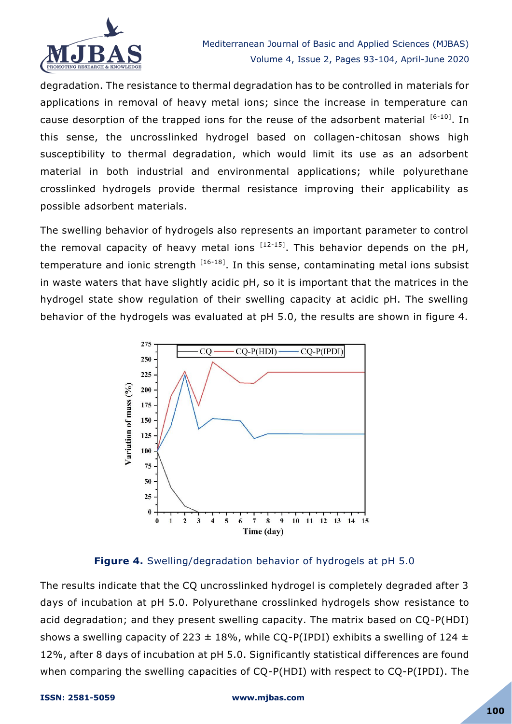

degradation. The resistance to thermal degradation has to be controlled in materials for applications in removal of heavy metal ions; since the increase in temperature can cause desorption of the trapped ions for the reuse of the adsorbent material  $[6-10]$ . In this sense, the uncrosslinked hydrogel based on collagen-chitosan shows high susceptibility to thermal degradation, which would limit its use as an adsorbent material in both industrial and environmental applications; while polyurethane crosslinked hydrogels provide thermal resistance improving their applicability as possible adsorbent materials.

The swelling behavior of hydrogels also represents an important parameter to control the removal capacity of heavy metal ions  $[12-15]$ . This behavior depends on the pH, temperature and ionic strength  $[16-18]$ . In this sense, contaminating metal ions subsist in waste waters that have slightly acidic pH, so it is important that the matrices in the hydrogel state show regulation of their swelling capacity at acidic pH. The swelling behavior of the hydrogels was evaluated at pH 5.0, the results are shown in figure 4.



# **Figure 4.** Swelling/degradation behavior of hydrogels at pH 5.0

The results indicate that the CQ uncrosslinked hydrogel is completely degraded after 3 days of incubation at pH 5.0. Polyurethane crosslinked hydrogels show resistance to acid degradation; and they present swelling capacity. The matrix based on CQ-P(HDI) shows a swelling capacity of 223  $\pm$  18%, while CQ-P(IPDI) exhibits a swelling of 124  $\pm$ 12%, after 8 days of incubation at pH 5.0. Significantly statistical differences are found when comparing the swelling capacities of CQ-P(HDI) with respect to CQ-P(IPDI). The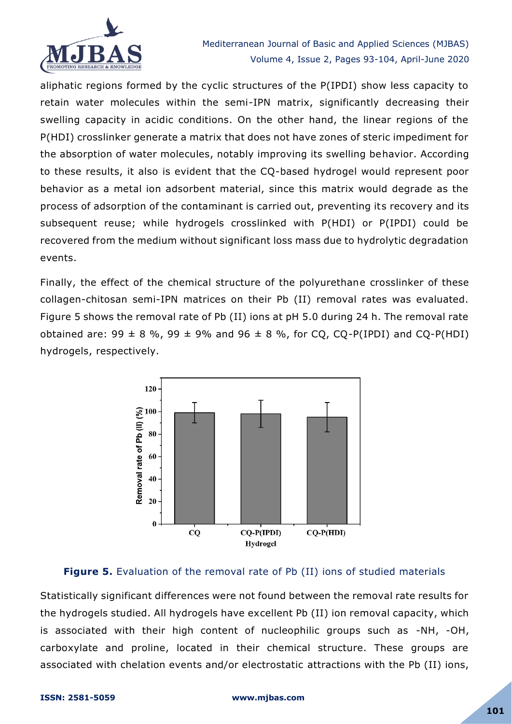

aliphatic regions formed by the cyclic structures of the P(IPDI) show less capacity to retain water molecules within the semi-IPN matrix, significantly decreasing their swelling capacity in acidic conditions. On the other hand, the linear regions of the P(HDI) crosslinker generate a matrix that does not have zones of steric impediment for the absorption of water molecules, notably improving its swelling behavior. According to these results, it also is evident that the CQ-based hydrogel would represent poor behavior as a metal ion adsorbent material, since this matrix would degrade as the process of adsorption of the contaminant is carried out, preventing its recovery and its subsequent reuse; while hydrogels crosslinked with P(HDI) or P(IPDI) could be recovered from the medium without significant loss mass due to hydrolytic degradation events.

Finally, the effect of the chemical structure of the polyurethane crosslinker of these collagen-chitosan semi-IPN matrices on their Pb (II) removal rates was evaluated. Figure 5 shows the removal rate of Pb (II) ions at pH 5.0 during 24 h. The removal rate obtained are:  $99 \pm 8$  %,  $99 \pm 9$ % and  $96 \pm 8$  %, for CQ, CQ-P(IPDI) and CQ-P(HDI) hydrogels, respectively.



# **Figure 5.** Evaluation of the removal rate of Pb (II) ions of studied materials

Statistically significant differences were not found between the removal rate results for the hydrogels studied. All hydrogels have excellent Pb (II) ion removal capacity, which is associated with their high content of nucleophilic groups such as -NH, -OH, carboxylate and proline, located in their chemical structure. These groups are associated with chelation events and/or electrostatic attractions with the Pb (II) ions,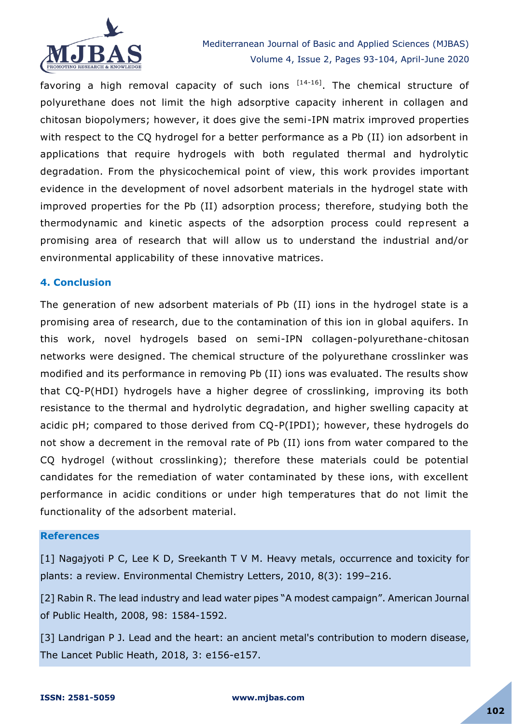

favoring a high removal capacity of such ions  $[14-16]$ . The chemical structure of polyurethane does not limit the high adsorptive capacity inherent in collagen and chitosan biopolymers; however, it does give the semi-IPN matrix improved properties with respect to the CQ hydrogel for a better performance as a Pb (II) ion adsorbent in applications that require hydrogels with both regulated thermal and hydrolytic degradation. From the physicochemical point of view, this work provides important evidence in the development of novel adsorbent materials in the hydrogel state with improved properties for the Pb (II) adsorption process; therefore, studying both the thermodynamic and kinetic aspects of the adsorption process could represent a promising area of research that will allow us to understand the industrial and/or environmental applicability of these innovative matrices.

#### **4. Conclusion**

The generation of new adsorbent materials of Pb (II) ions in the hydrogel state is a promising area of research, due to the contamination of this ion in global aquifers. In this work, novel hydrogels based on semi-IPN collagen-polyurethane-chitosan networks were designed. The chemical structure of the polyurethane crosslinker was modified and its performance in removing Pb (II) ions was evaluated. The results show that CQ-P(HDI) hydrogels have a higher degree of crosslinking, improving its both resistance to the thermal and hydrolytic degradation, and higher swelling capacity at acidic pH; compared to those derived from CQ-P(IPDI); however, these hydrogels do not show a decrement in the removal rate of Pb (II) ions from water compared to the CQ hydrogel (without crosslinking); therefore these materials could be potential candidates for the remediation of water contaminated by these ions, with excellent performance in acidic conditions or under high temperatures that do not limit the functionality of the adsorbent material.

#### **References**

[1] Nagajyoti P C, Lee K D, Sreekanth T V M. Heavy metals, occurrence and toxicity for plants: a review. Environmental Chemistry Letters, 2010, 8(3): 199–216.

[2] Rabin R. The lead industry and lead water pipes "A modest campaign". American Journal of Public Health, 2008, 98: 1584-1592.

[3] Landrigan P J. Lead and the heart: an ancient metal's contribution to modern disease, The Lancet Public Heath, 2018, 3: e156-e157.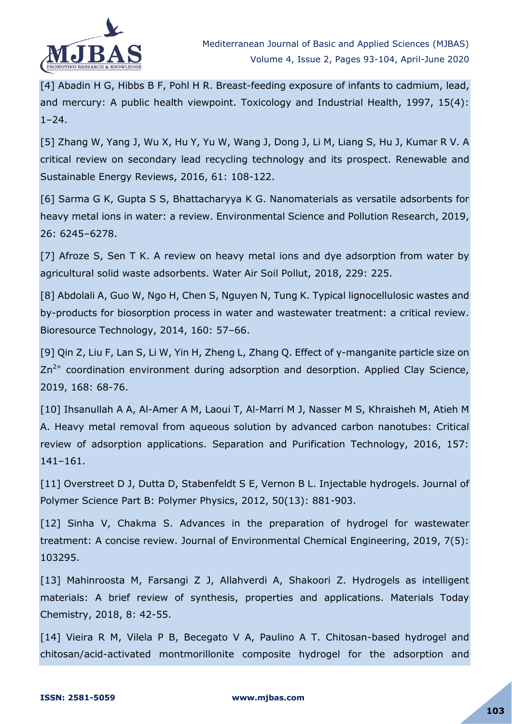

[4] Abadin H G, Hibbs B F, Pohl H R. Breast-feeding exposure of infants to cadmium, lead, and mercury: A public health viewpoint. Toxicology and Industrial Health, 1997, 15(4):  $1 - 24$ .

[5] Zhang W, Yang J, Wu X, Hu Y, Yu W, Wang J, Dong J, Li M, Liang S, Hu J, Kumar R V. A critical review on secondary lead recycling technology and its prospect. Renewable and Sustainable Energy Reviews, 2016, 61: 108-122.

[6] Sarma G K, Gupta S S, Bhattacharyya K G. Nanomaterials as versatile adsorbents for heavy metal ions in water: a review. Environmental Science and Pollution Research, 2019, 26: 6245–6278.

[7] Afroze S, Sen T K. A review on heavy metal ions and dye adsorption from water by agricultural solid waste adsorbents. Water Air Soil Pollut, 2018, 229: 225.

[8] Abdolali A, Guo W, Ngo H, Chen S, Nguyen N, Tung K. Typical lignocellulosic wastes and by-products for biosorption process in water and wastewater treatment: a critical review. Bioresource Technology, 2014, 160: 57–66.

[9] Qin Z, Liu F, Lan S, Li W, Yin H, Zheng L, Zhang Q. Effect of γ-manganite particle size on  $Zn^{2+}$  coordination environment during adsorption and desorption. Applied Clay Science, 2019, 168: 68-76.

[10] Ihsanullah A A, Al-Amer A M, Laoui T, Al-Marri M J, Nasser M S, Khraisheh M, Atieh M A. Heavy metal removal from aqueous solution by advanced carbon nanotubes: Critical review of adsorption applications. Separation and Purification Technology, 2016, 157: 141–161.

[11] Overstreet D J, Dutta D, Stabenfeldt S E, Vernon B L. Injectable hydrogels. Journal of Polymer Science Part B: Polymer Physics, 2012, 50(13): 881-903.

[12] Sinha V, Chakma S. Advances in the preparation of hydrogel for wastewater treatment: A concise review. Journal of Environmental Chemical Engineering, 2019, 7(5): 103295.

[13] Mahinroosta M, Farsangi Z J, Allahverdi A, Shakoori Z. Hydrogels as intelligent materials: A brief review of synthesis, properties and applications. Materials Today Chemistry, 2018, 8: 42-55.

[14] Vieira R M, Vilela P B, Becegato V A, Paulino A T. Chitosan-based hydrogel and chitosan/acid-activated montmorillonite composite hydrogel for the adsorption and